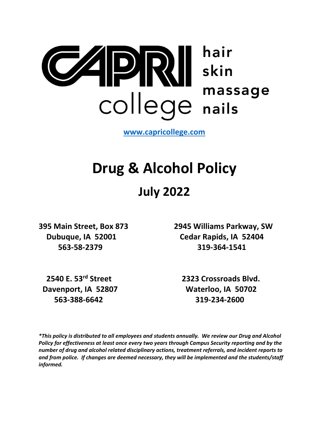

**[www.capricollege.com](http://www.capricollege.com/)**

# **Drug & Alcohol Policy**

# **July 2022**

**395 Main Street, Box 873 2945 Williams Parkway, SW Dubuque, IA 52001 Cedar Rapids, IA 52404 563-58-2379 319-364-1541**

 **Davenport, IA 52807 Waterloo, IA 50702 563-388-6642 319-234-2600**

 **2540 E. 53rd Street 2323 Crossroads Blvd.**

*\*This policy is distributed to all employees and students annually. We review our Drug and Alcohol Policy for effectiveness at least once every two years through Campus Security reporting and by the number of drug and alcohol related disciplinary actions, treatment referrals, and incident reports to and from police. If changes are deemed necessary, they will be implemented and the students/staff informed.*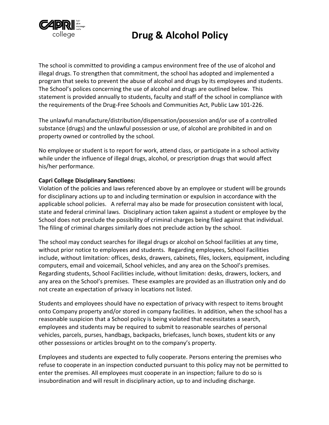

The school is committed to providing a campus environment free of the use of alcohol and illegal drugs. To strengthen that commitment, the school has adopted and implemented a program that seeks to prevent the abuse of alcohol and drugs by its employees and students. The School's polices concerning the use of alcohol and drugs are outlined below. This statement is provided annually to students, faculty and staff of the school in compliance with the requirements of the Drug-Free Schools and Communities Act, Public Law 101-226.

The unlawful manufacture/distribution/dispensation/possession and/or use of a controlled substance (drugs) and the unlawful possession or use, of alcohol are prohibited in and on property owned or controlled by the school.

No employee or student is to report for work, attend class, or participate in a school activity while under the influence of illegal drugs, alcohol, or prescription drugs that would affect his/her performance.

#### **Capri College Disciplinary Sanctions:**

Violation of the policies and laws referenced above by an employee or student will be grounds for disciplinary actions up to and including termination or expulsion in accordance with the applicable school policies. A referral may also be made for prosecution consistent with local, state and federal criminal laws. Disciplinary action taken against a student or employee by the School does not preclude the possibility of criminal charges being filed against that individual. The filing of criminal charges similarly does not preclude action by the school.

The school may conduct searches for illegal drugs or alcohol on School facilities at any time, without prior notice to employees and students. Regarding employees, School Facilities include, without limitation: offices, desks, drawers, cabinets, files, lockers, equipment, including computers, email and voicemail, School vehicles, and any area on the School's premises. Regarding students, School Facilities include, without limitation: desks, drawers, lockers, and any area on the School's premises. These examples are provided as an illustration only and do not create an expectation of privacy in locations not listed.

Students and employees should have no expectation of privacy with respect to items brought onto Company property and/or stored in company facilities. In addition, when the school has a reasonable suspicion that a School policy is being violated that necessitates a search, employees and students may be required to submit to reasonable searches of personal vehicles, parcels, purses, handbags, backpacks, briefcases, lunch boxes, student kits or any other possessions or articles brought on to the company's property.

Employees and students are expected to fully cooperate. Persons entering the premises who refuse to cooperate in an inspection conducted pursuant to this policy may not be permitted to enter the premises. All employees must cooperate in an inspection; failure to do so is insubordination and will result in disciplinary action, up to and including discharge.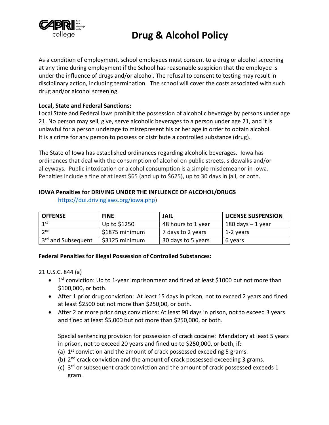

As a condition of employment, school employees must consent to a drug or alcohol screening at any time during employment if the School has reasonable suspicion that the employee is under the influence of drugs and/or alcohol. The refusal to consent to testing may result in disciplinary action, including termination. The school will cover the costs associated with such drug and/or alcohol screening.

#### **Local, State and Federal Sanctions:**

Local State and Federal laws prohibit the possession of alcoholic beverage by persons under age 21. No person may sell, give, serve alcoholic beverages to a person under age 21, and it is unlawful for a person underage to misrepresent his or her age in order to obtain alcohol. It is a crime for any person to possess or distribute a controlled substance (drug).

The State of Iowa has established ordinances regarding alcoholic beverages. Iowa has ordinances that deal with the consumption of alcohol on public streets, sidewalks and/or alleyways. Public intoxication or alcohol consumption is a simple misdemeanor in Iowa. Penalties include a fine of at least \$65 (and up to \$625), up to 30 days in jail, or both.

#### **IOWA Penalties for DRIVING UNDER THE INFLUENCE OF ALCOHOL/DRUGS**

[https://dui.drivinglaws.org/iowa.php\)](https://dui.drivinglaws.org/iowa.php)

| <b>OFFENSE</b>                 | <b>FINE</b>    | JAIL               | <b>LICENSE SUSPENSION</b> |
|--------------------------------|----------------|--------------------|---------------------------|
| 1st                            | Up to \$1250   | 48 hours to 1 year | $180$ days $-1$ year      |
| 2nd                            | \$1875 minimum | 7 days to 2 years  | 1-2 years                 |
| 3 <sup>rd</sup> and Subsequent | \$3125 minimum | 30 days to 5 years | 6 years                   |

#### **Federal Penalties for Illegal Possession of Controlled Substances:**

#### 21 U.S.C. 844 (a)

- 1<sup>st</sup> conviction: Up to 1-year imprisonment and fined at least \$1000 but not more than \$100,000, or both.
- After 1 prior drug conviction: At least 15 days in prison, not to exceed 2 years and fined at least \$2500 but not more than \$250,00, or both.
- After 2 or more prior drug convictions: At least 90 days in prison, not to exceed 3 years and fined at least \$5,000 but not more than \$250,000, or both.

Special sentencing provision for possession of crack cocaine: Mandatory at least 5 years in prison, not to exceed 20 years and fined up to \$250,000, or both, if:

- (a)  $1<sup>st</sup>$  conviction and the amount of crack possessed exceeding 5 grams.
- (b)  $2^{nd}$  crack conviction and the amount of crack possessed exceeding 3 grams.
- (c) 3<sup>rd</sup> or subsequent crack conviction and the amount of crack possessed exceeds 1 gram.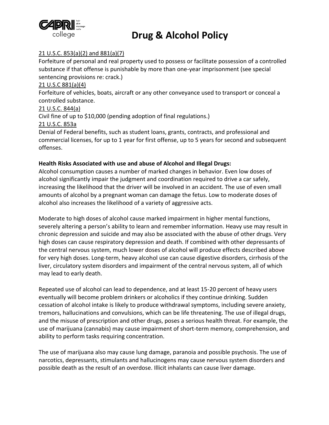

#### 21 U.S.C. 853(a)(2) and 881(a)(7)

Forfeiture of personal and real property used to possess or facilitate possession of a controlled substance if that offense is punishable by more than one-year imprisonment (see special sentencing provisions re: crack.)

#### 21 U.S.C 881(a)(4)

Forfeiture of vehicles, boats, aircraft or any other conveyance used to transport or conceal a controlled substance.

#### 21 U.S.C. 844(a)

Civil fine of up to \$10,000 (pending adoption of final regulations.)

#### 21 U.S.C. 853a

Denial of Federal benefits, such as student loans, grants, contracts, and professional and commercial licenses, for up to 1 year for first offense, up to 5 years for second and subsequent offenses.

#### **Health Risks Associated with use and abuse of Alcohol and Illegal Drugs:**

Alcohol consumption causes a number of marked changes in behavior. Even low doses of alcohol significantly impair the judgment and coordination required to drive a car safely, increasing the likelihood that the driver will be involved in an accident. The use of even small amounts of alcohol by a pregnant woman can damage the fetus. Low to moderate doses of alcohol also increases the likelihood of a variety of aggressive acts.

Moderate to high doses of alcohol cause marked impairment in higher mental functions, severely altering a person's ability to learn and remember information. Heavy use may result in chronic depression and suicide and may also be associated with the abuse of other drugs. Very high doses can cause respiratory depression and death. If combined with other depressants of the central nervous system, much lower doses of alcohol will produce effects described above for very high doses. Long-term, heavy alcohol use can cause digestive disorders, cirrhosis of the liver, circulatory system disorders and impairment of the central nervous system, all of which may lead to early death.

Repeated use of alcohol can lead to dependence, and at least 15-20 percent of heavy users eventually will become problem drinkers or alcoholics if they continue drinking. Sudden cessation of alcohol intake is likely to produce withdrawal symptoms, including severe anxiety, tremors, hallucinations and convulsions, which can be life threatening. The use of illegal drugs, and the misuse of prescription and other drugs, poses a serious health threat. For example, the use of marijuana (cannabis) may cause impairment of short-term memory, comprehension, and ability to perform tasks requiring concentration.

The use of marijuana also may cause lung damage, paranoia and possible psychosis. The use of narcotics, depressants, stimulants and hallucinogens may cause nervous system disorders and possible death as the result of an overdose. Illicit inhalants can cause liver damage.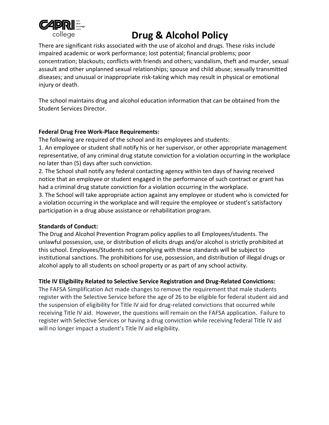

There are significant risks associated with the use of alcohol and drugs. These risks include impaired academic or work performance; lost potential; financial problems; poor concentration; blackouts; conflicts with friends and others; vandalism, theft and murder, sexual assault and other unplanned sexual relationships; spouse and child abuse; sexually transmitted diseases; and unusual or inappropriate risk-taking which may result in physical or emotional injury or death.

The school maintains drug and alcohol education information that can be obtained from the Student Services Director.

#### **Federal Drug Free Work-Place Requirements:**

The following are required of the school and its employees and students:

1. An employee or student shall notify his or her supervisor, or other appropriate management representative, of any criminal drug statute conviction for a violation occurring in the workplace no later than (5) days after such conviction.

2. The School shall notify any federal contacting agency within ten days of having received notice that an employee or student engaged in the performance of such contract or grant has had a criminal drug statute conviction for a violation occurring in the workplace.

3. The School will take appropriate action against any employee or student who is convicted for a violation occurring in the workplace and will require the employee or student's satisfactory participation in a drug abuse assistance or rehabilitation program.

#### **Standards of Conduct:**

The Drug and Alcohol Prevention Program policy applies to all Employees/students. The unlawful possession, use, or distribution of elicits drugs and/or alcohol is strictly prohibited at this school. Employees/Students not complying with these standards will be subject to institutional sanctions. The prohibitions for use, possession, and distribution of illegal drugs or alcohol apply to all students on school property or as part of any school activity.

#### **Title IV Eligibility Related to Selective Service Registration and Drug-Related Convictions:**

The FAFSA Simplification Act made changes to remove the requirement that male students register with the Selective Service before the age of 26 to be eligible for federal student aid and the suspension of eligibility for Title IV aid for drug-related convictions that occurred while receiving Title IV aid. However, the questions will remain on the FAFSA application. Failure to register with Selective Services or having a drug conviction while receiving federal Title IV aid will no longer impact a student's Title IV aid eligibility.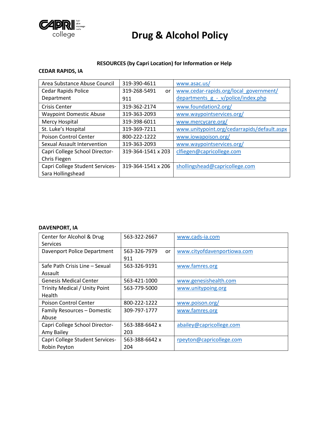

#### **RESOURCES (by Capri Location) for Information or Help**

#### **CEDAR RAPIDS, IA**

| Area Substance Abuse Council    | 319-390-4611       | www.asac.us/                                |
|---------------------------------|--------------------|---------------------------------------------|
| Cedar Rapids Police             | 319-268-5491<br>or | www.cedar-rapids.org/local_government/      |
| Department                      | 911                | departments $g - v/police/index.php$        |
| <b>Crisis Center</b>            | 319-362-2174       | www.foundation2.org/                        |
| <b>Waypoint Domestic Abuse</b>  | 319-363-2093       | www.waypointservices.org/                   |
| Mercy Hospital                  | 319-398-6011       | www.mercycare.org/                          |
| St. Luke's Hospital             | 319-369-7211       | www.unitypoint.org/cedarrapids/default.aspx |
| Poison Control Center           | 800-222-1222       | www.iowapoison.org/                         |
| Sexual Assault Intervention     | 319-363-2093       | www.waypointservices.org/                   |
| Capri College School Director-  | 319-364-1541 x 203 | clfiegen@capricollege.com                   |
| Chris Fiegen                    |                    |                                             |
| Capri College Student Services- | 319-364-1541 x 206 | shollingshead@capricollege.com              |
| Sara Hollingshead               |                    |                                             |

#### **DAVENPORT, IA**

| Center for Alcohol & Drug       | 563-322-2667       | www.cads-ia.com             |
|---------------------------------|--------------------|-----------------------------|
| Services                        |                    |                             |
| Davenport Police Department     | 563-326-7979<br>or | www.cityofdavenportiowa.com |
|                                 | 911                |                             |
| Safe Path Crisis Line - Sexual  | 563-326-9191       | www.famres.org              |
| Assault                         |                    |                             |
| <b>Genesis Medical Center</b>   | 563-421-1000       | www.genesishealth.com       |
| Trinity Medical / Unity Point   | 563-779-5000       | www.unitypoing.org          |
| Health                          |                    |                             |
| Poison Control Center           | 800-222-1222       | www.poison.org/             |
| Family Resources - Domestic     | 309-797-1777       | www.famres.org              |
| Abuse                           |                    |                             |
| Capri College School Director-  | 563-388-6642 x     | abailey@capricollege.com    |
| Amy Bailey                      | 203                |                             |
| Capri College Student Services- | 563-388-6642 x     | rpeyton@capricollege.com    |
| Robin Peyton                    | 204                |                             |